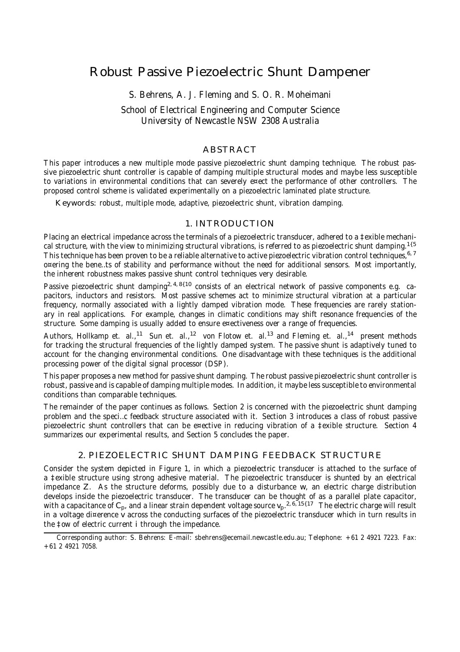# Robust Passive Piezoelectric Shunt Dampener

S. Behrens, A. J. Fleming and S. O. R. Moheimani

## School of Electrical Engineering and Computer Science University of Newcastle NSW 2308 Australia

# ABSTRACT

This paper introduces a new multiple mode passive piezoelectric shunt damping technique. The robust passive piezoelectric shunt controller is capable of damping multiple structural modes and maybe less susceptible to variations in environmental conditions that can severely e¤ect the performance of other controllers. The proposed control scheme is validated experimentally on a piezoelectric laminated plate structure.

Keywords: robust, multiple mode, adaptive, piezoelectric shunt, vibration damping.

## 1. INTRODUCTION

Placing an electrical impedance across the terminals of a piezoelectric transducer, adhered to a ‡exible mechanical structure, with the view to minimizing structural vibrations, is referred to as piezoelectric shunt damping. $^{1\{5}}$ This technique has been proven to be a reliable alternative to active piezoelectric vibration control techniques,<sup>6,7</sup> o¤ering the bene…ts of stability and performance without the need for additional sensors. Most importantly, the inherent robustness makes passive shunt control techniques very desirable.

Passive piezoelectric shunt damping<sup>2, 4, 8{10</sup> consists of an electrical network of passive components e.g. capacitors, inductors and resistors. Most passive schemes act to minimize structural vibration at a particular frequency, normally associated with a lightly damped vibration mode. These frequencies are rarely stationary in real applications. For example, changes in climatic conditions may shift resonance frequencies of the structure. Some damping is usually added to ensure e¤ectiveness over a range of frequencies.

Authors, Hollkamp et. al.,<sup>11</sup> Sun et. al.,<sup>12</sup> von Flotow et. al.<sup>13</sup> and Fleming et. al.,<sup>14</sup> present methods for tracking the structural frequencies of the lightly damped system. The passive shunt is adaptively tuned to account for the changing environmental conditions. One disadvantage with these techniques is the additional processing power of the digital signal processor (DSP).

This paper proposes a new method for passive shunt damping. The robust passive piezoelectric shunt controller is robust, passive and is capable of damping multiple modes. In addition, it maybe less susceptible to environmental conditions than comparable techniques.

The remainder of the paper continues as follows. Section 2 is concerned with the piezoelectric shunt damping problem and the speci…c feedback structure associated with it. Section 3 introduces a class of robust passive piezoelectric shunt controllers that can be e¤ective in reducing vibration of a ‡exible structure. Section 4 summarizes our experimental results, and Section 5 concludes the paper.

## 2. PIEZOELECTRIC SHUNT DAMPING FEEDBACK STRUCTURE

Consider the system depicted in Figure 1, in which a piezoelectric transducer is attached to the surface of a ‡exible structure using strong adhesive material. The piezoelectric transducer is shunted by an electrical impedance Z. As the structure deforms, possibly due to a disturbance w, an electric charge distribution develops inside the piezoelectric transducer. The transducer can be thought of as a parallel plate capacitor, with a capacitance of C<sub>p</sub>, and a linear strain dependent voltage source v<sub>p</sub>.<sup>2, 6, 15{17}</sup> The electric charge will result in a voltage di¤erence v across the conducting surfaces of the piezoelectric transducer which in turn results in the ‡ow of electric current i through the impedance.

Corresponding author: S. Behrens: E-mail: sbehrens@ecemail.newcastle.edu.au; Telephone: +61 2 4921 7223. Fax: +61 2 4921 7058.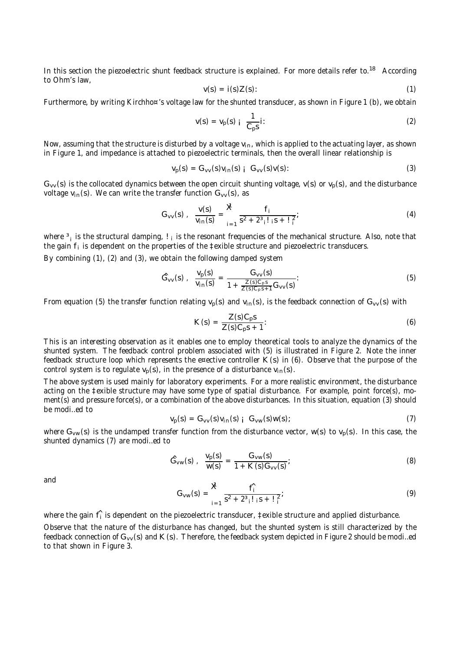In this section the piezoelectric shunt feedback structure is explained. For more details refer to.<sup>18</sup> According to Ohm's law,

$$
v(s) = i(s)Z(s): \tag{1}
$$

Furthermore, by writing Kirchho¤'s voltage law for the shunted transducer, as shown in Figure 1 (b), we obtain

$$
v(s) = v_p(s) \mathbin{\mathbf{i}} \frac{1}{C_p s} \mathbin{\mathbf{i}} \tag{2}
$$

Now, assuming that the structure is disturbed by a voltage  $v_{in}$ , which is applied to the actuating layer, as shown in Figure 1, and impedance is attached to piezoelectric terminals, then the overall linear relationship is

$$
v_p(s) = G_{vv}(s)v_{in}(s) \quad G_{vv}(s)v(s): \tag{3}
$$

 $G_{VV}(s)$  is the collocated dynamics between the open circuit shunting voltage,  $V(s)$  or  $V_p(s)$ , and the disturbance voltage  $v_{in}(s)$ . We can write the transfer function  $G_{vv}(s)$ , as

$$
G_{VV}(s) , \frac{V(s)}{V_{in}(s)} = \frac{X}{s^2 + 2^3 i! \, s + i \, i^2}; \tag{4}
$$

where <sup>3</sup><sub>i</sub> is the structural damping, !<sub>i</sub> is the resonant frequencies of the mechanical structure. Also, note that the gain  $f_i$  is dependent on the properties of the  $\ddagger$ exible structure and piezoelectric transducers.

By combining (1), (2) and (3), we obtain the following damped system

$$
\hat{G}_{vv}(s) , \frac{v_p(s)}{v_{in}(s)} = \frac{G_{vv}(s)}{1 + \frac{Z(s)C_p s}{Z(s)C_p s + 1} G_{vv}(s)}.
$$
(5)

From equation (5) the transfer function relating  $v_p(s)$  and  $v_{in}(s)$ , is the feedback connection of  $G_{vv}(s)$  with

$$
K(s) = \frac{Z(s)C_p s}{Z(s)C_p s + 1}.
$$
\n(6)

This is an interesting observation as it enables one to employ theoretical tools to analyze the dynamics of the shunted system. The feedback control problem associated with (5) is illustrated in Figure 2. Note the inner feedback structure loop which represents the e¤ective controller K(s) in (6). Observe that the purpose of the control system is to regulate  $v_p(s)$ , in the presence of a disturbance  $v_{in}(s)$ .

The above system is used mainly for laboratory experiments. For a more realistic environment, the disturbance acting on the ‡exible structure may have some type of spatial disturbance. For example, point force(s), moment(s) and pressure force(s), or a combination of the above disturbances. In this situation, equation (3) should be modi…ed to

$$
v_p(s) = G_{vv}(s)v_{in}(s) \, j \, G_{vw}(s)w(s); \tag{7}
$$

where G<sub>vw</sub>(s) is the undamped transfer function from the disturbance vector, w(s) to v<sub>p</sub>(s). In this case, the shunted dynamics (7) are modi…ed to

$$
\hat{G}_{vw}(s) , \frac{v_p(s)}{w(s)} = \frac{G_{vw}(s)}{1 + K(s)G_{vv}(s)};
$$
\n(8)

and

$$
G_{vw}(s) = \frac{\mathbf{X}}{s^2 + 2^3 \cdot 1 \cdot 1 \cdot 1} \cdot \frac{f_1^2}{s^2 + 2^3 \cdot 1 \cdot 1 \cdot 1 \cdot 1} \tag{9}
$$

where the gain  $\hat{\mathsf{f}}_i$  is dependent on the piezoelectric transducer, ‡exible structure and applied disturbance. Observe that the nature of the disturbance has changed, but the shunted system is still characterized by the feedback connection of  $G_{VV}(s)$  and  $K(s)$ . Therefore, the feedback system depicted in Figure 2 should be modi...ed to that shown in Figure 3.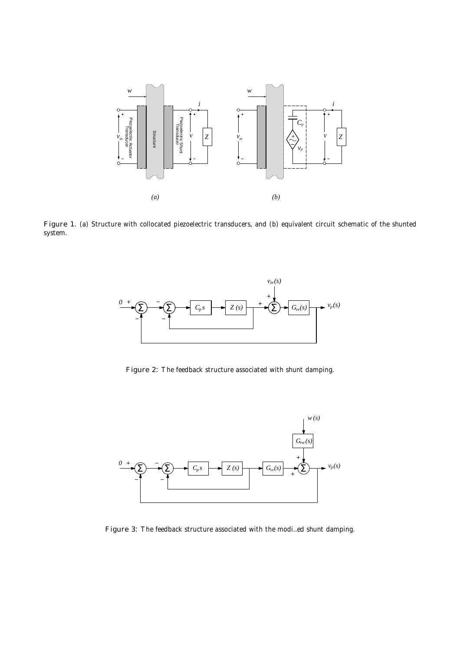

Figure 1. (a) Structure with collocated piezoelectric transducers, and (b) equivalent circuit schematic of the shunted system.



Figure 2: The feedback structure associated with shunt damping.



Figure 3: The feedback structure associated with the modi…ed shunt damping.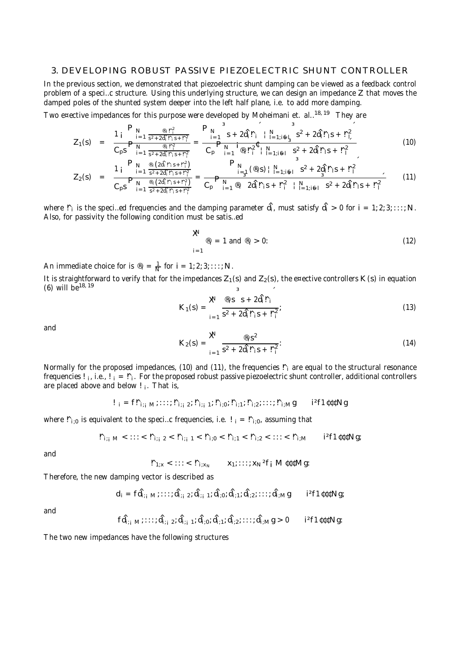#### 3. DEVELOPING ROBUST PASSIVE PIEZOELECTRIC SHUNT CONTROLLER

In the previous section, we demonstrated that piezoelectric shunt damping can be viewed as a feedback control problem of a speci…c structure. Using this underlying structure, we can design an impedance Z that moves the damped poles of the shunted system deeper into the left half plane, i.e. to add more damping.

Two e¤ective impedances for this purpose were developed by Moheimani et. al..<sup>18, 19</sup> They are

$$
Z_{1}(s) = \frac{1 - \sum_{i=1}^{n} \frac{\mathbb{P}_{N}}{s^{2} + 2\hat{d}_{i}r_{i}s + r_{i}^{2}}}{C_{p}s - \sum_{i=1}^{n} \frac{\mathbb{P}_{N}}{s^{2} + 2\hat{d}_{i}r_{i}s + r_{i}^{2}}} = \frac{P_{N}}{C_{p}} \frac{s}{P_{N}} + 2\hat{d}_{i}r_{i} + \frac{N}{1-1;is} \frac{s^{2} + 2\hat{d}_{i}r_{i}s + r_{i}^{2}}{s^{2} + 2\hat{d}_{i}r_{i}s + r_{i}^{2}}
$$
(10)

$$
Z_{2}(s) = \frac{1 - \sum_{i=1}^{N} \frac{\mathfrak{D}_{i}(2\hat{d}_{i}F_{i}s + r_{i}^{2})}{s^{2} + 2\hat{d}_{i}F_{i}s + r_{i}^{2}}}{C_{p}s - \sum_{i=1}^{N} \frac{\mathfrak{D}_{i}(2\hat{d}_{i}F_{i}s + r_{i}^{2})}{s^{2} + 2\hat{d}_{i}F_{i}s + r_{i}^{2}}} = \frac{P_{N}}{C_{p}} \frac{\mathfrak{D}_{i}(\mathfrak{D}_{i}s) + N_{i-1}^{3} \mathfrak{D}_{i}}{2\hat{d}_{i}F_{i}s + r_{i}^{2} + N_{i-1}^{2} \mathfrak{D}_{i}}}{C_{p}} = \frac{3}{C_{p}} \frac{\mathfrak{D}_{i}(\mathfrak{D}_{i}s) + N_{i-1}^{2} \mathfrak{D}_{i}}{2\hat{d}_{i}F_{i}s + r_{i}^{2} + N_{i-1}^{2} \mathfrak{D}_{i}} \qquad (11)
$$

where  $\Gamma_i$  is the speci…ed frequencies and the damping parameter  $\hat{\mathsf{d}}_i$ , must satisfy  $\hat{\mathsf{d}}_i>0$  for i = 1; 2; 3; :::; N. Also, for passivity the following condition must be satis…ed

$$
\mathbf{X} \quad \mathbf{P}_i = 1 \text{ and } \mathbf{P}_i > 0: \tag{12}
$$

An immediate choice for is  $\mathcal{P}_i = \frac{1}{N}$  for  $i = 1, 2, 3, \ldots, N$ .

It is straightforward to verify that for the impedances  $Z_1(s)$  and  $Z_2(s)$ , the e¤ective controllers K(s) in equation (6) will be<sup>18, 19</sup>

$$
K_1(s) = \frac{\mathbf{X}^{\mathsf{d}}}{s^2 + 2\hat{d}_i \hat{r}_i s + \hat{r}_i^2},
$$
\n(13)

and

$$
K_2(s) = \sum_{i=1}^{\infty} \frac{\Phi_i s^2}{s^2 + 2\hat{d}_i! \hat{r}_i s + \hat{r}_i^2}.
$$
 (14)

Normally for the proposed impedances, (10) and (11), the frequencies  $\mathbf{r}_i$  are equal to the structural resonance frequencies ! ¡, i.e., ! ¡ = ! °¡. For the proposed robust passive piezoelectric shunt controller, additional controllers are placed above and below  $I_{i}$ . That is,

$$
I_{i} = fI_{i;j} M_{i} \cdots I_{i;j} 2I_{i;j} I_{i;j} N_{i;j} N_{i;j} N_{i;j} \cdots N_{i;M} g \qquad i^2 f1 \text{iff} Ng
$$

where  $P_{i;0}$  is equivalent to the speci...c frequencies, i.e.  $I_i = P_{i;0}$ , assuming that

$$
\tilde{\Gamma}_{i;j}\, \, \mathsf{m}\, <\, \mathsf{iii}\, <\, \tilde{\Gamma}_{i;j}\, \, 2\, <\, \tilde{\Gamma}_{i;j}\, \, 1\, <\, \tilde{\Gamma}_{i;0}\, <\, \tilde{\Gamma}_{i;1}\, <\, \tilde{\Gamma}_{i;2}\, <\, \mathsf{iii}\, <\, \tilde{\Gamma}_{i;M}\qquad \ \, i^{2}f1\, \mathfrak{U}\, \mathfrak{U}\, \mathsf{N} \, \mathsf{g};
$$

and

 $\mathbb{P}_{1:x}$  < ::: <  $\mathbb{P}_{i:x_N}$   $x_1$ ; :::;  $x_N$  <sup>2</sup>f<sub>i</sub> M  $\mathfrak{td} \mathfrak{d}$  Mg:

Therefore, the new damping vector is described as

$$
d_i = f \hat{d}_{i;j~M}(\ldots; \hat{d}_{i;j~2}; \hat{d}_{i;j~1}; \hat{d}_{i;0}; \hat{d}_{i;1}; \hat{d}_{i;2}; \ldots; \hat{d}_{i;M}g \qquad i^2f1\mathfrak{etcN}g;
$$

and

$$
f\hat{d}_{i;j~M}^{\cdot},\ldots;\hat{d}_{i;j-2}^{\cdot};\hat{d}_{i;j-1}^{\cdot};\hat{d}_{i;0}^{\cdot};\hat{d}_{i;1}^{\cdot};\hat{d}_{i;2}^{\cdot};\ldots;\hat{d}_{i;M}^{\cdot}g>0 \qquad \text{if the } Ng\text{:}
$$

The two new impedances have the following structures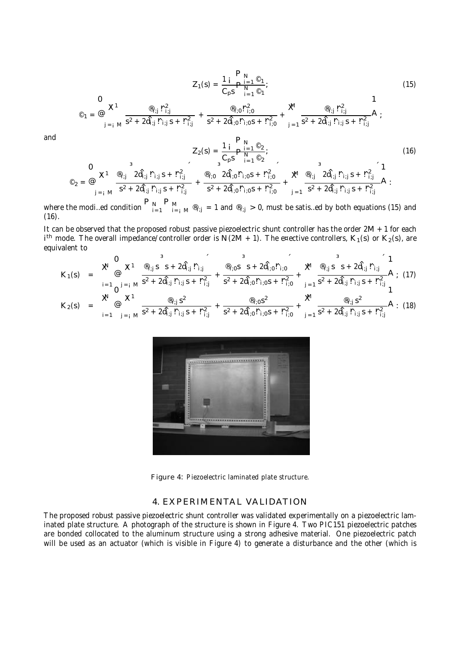$$
Z_1(s) = \frac{1 \, i \, P_N}{C_p s} \frac{P_N}{\prod_{i=1}^N \, \mathcal{O}_1};\tag{15}
$$

$$
\textbf{C}_1 = \textbf{C} \textbf{X}^1 \frac{\textbf{C}_{i;j} \, r_{i;j}^2}{s^2 + 2 \hat{d}_{i;j} \, r_{i;j} \, s + r_{i;j}^2} + \frac{\textbf{C}_{i;0} r_{i;0}^2}{s^2 + 2 \hat{d}_{i;0} r_{i;0} s + r_{i;0}^2} + \textbf{X} \frac{\textbf{C}_{i;j} \, r_{i;j}^2}{s^2 + 2 \hat{d}_{i;j} \, r_{i;j} \, s + r_{i;j}^2} \textbf{A}_j
$$

and

 $\circ$ <sub>2</sub> =

$$
Z_{2}(s) = \frac{1}{C_{p}s} \frac{\Gamma_{N}^{1} \mathcal{Q}_{2}}{\Gamma_{i=1}^{N} \mathcal{Q}_{2}};
$$
\n
$$
\mathcal{Q} \times I \xrightarrow{\mathcal{Q}_{i;j}} 2\hat{d}_{i;j} \Gamma_{i;j} s + \Gamma_{i;j}^{2} \xrightarrow{\mathcal{Q}_{i;j}} \frac{1}{s^{2} + 2\hat{d}_{i;j} \Gamma_{i;j} s + \Gamma_{i;j}^{2}} + \frac{\mathcal{Q}_{i;0}^{1} 2\hat{d}_{i;0} \Gamma_{i;0} s + \Gamma_{i;0}^{2}}{s^{2} + 2\hat{d}_{i;0} \Gamma_{i;0} s + \Gamma_{i;0}^{2}} + \frac{\mathcal{Q}_{i;j}}{s^{2} + 2\hat{d}_{i;j} \Gamma_{i;j} s + \Gamma_{i;j}^{2}} \mathbf{A};
$$
\n(16)

where the modi…ed condition  $\bigcap_{i=1}^{n} \bigcap_{j=i}^{n} M^{(0)}_{j:j} = 1$  and  $^{(0)}_{i:j} > 0$ , must be satis…ed by both equations (15) and  $(16).$ 

It can be observed that the proposed robust passive piezoelectric shunt controller has the order 2M +1 for each  $i<sup>th</sup>$  mode. The overall impedance/controller order is N(2M + 1). The e¤ective controllers, K<sub>1</sub>(s) or K<sub>2</sub>(s), are equivalent to

$$
K_{1}(s) = \begin{array}{c} \mathbf{X}^{1} \oplus \mathbf{X}^{1} \oplus \mathbf{X}^{1} \oplus \mathbf{X}^{1} \oplus \mathbf{X}^{1} \oplus \mathbf{X}^{1} \oplus \mathbf{X}^{1} \oplus \mathbf{X}^{1} \oplus \mathbf{X}^{1} \oplus \mathbf{X}^{1} \oplus \mathbf{X}^{1} \oplus \mathbf{X}^{1} \oplus \mathbf{X}^{1} \oplus \mathbf{X}^{1} \oplus \mathbf{X}^{1} \oplus \mathbf{X}^{1} \oplus \mathbf{X}^{1} \oplus \mathbf{X}^{1} \oplus \mathbf{X}^{1} \oplus \mathbf{X}^{1} \oplus \mathbf{X}^{1} \oplus \mathbf{X}^{1} \oplus \mathbf{X}^{1} \oplus \mathbf{X}^{1} \oplus \mathbf{X}^{1} \oplus \mathbf{X}^{1} \oplus \mathbf{X}^{1} \oplus \mathbf{X}^{1} \oplus \mathbf{X}^{1} \oplus \mathbf{X}^{1} \oplus \mathbf{X}^{1} \oplus \mathbf{X}^{1} \oplus \mathbf{X}^{1} \oplus \mathbf{X}^{1} \oplus \mathbf{X}^{1} \oplus \mathbf{X}^{1} \oplus \mathbf{X}^{1} \oplus \mathbf{X}^{1} \oplus \mathbf{X}^{1} \oplus \mathbf{X}^{1} \oplus \mathbf{X}^{1} \oplus \mathbf{X}^{1} \oplus \mathbf{X}^{1} \oplus \mathbf{X}^{1} \oplus \mathbf{X}^{1} \oplus \mathbf{X}^{1} \oplus \mathbf{X}^{1} \oplus \mathbf{X}^{1} \oplus \mathbf{X}^{1} \oplus \mathbf{X}^{1} \oplus \mathbf{X}^{1} \oplus \mathbf{X}^{1} \oplus \mathbf{X}^{1} \oplus \mathbf{X}^{1} \oplus \mathbf{X}^{1} \oplus \mathbf{X}^{1} \oplus \mathbf{X}^{1} \oplus \mathbf{X}^{1} \oplus \mathbf{X}^{1} \oplus \mathbf{X}^{1} \oplus \mathbf{X}^{1} \oplus \mathbf{X}^{1} \oplus \
$$



Figure 4: Piezoelectric laminated plate structure.

#### 4. EXPERIMENTAL VALIDATION

The proposed robust passive piezoelectric shunt controller was validated experimentally on a piezoelectric laminated plate structure. A photograph of the structure is shown in Figure 4. Two PIC151 piezoelectric patches are bonded collocated to the aluminum structure using a strong adhesive material. One piezoelectric patch will be used as an actuator (which is visible in Figure 4) to generate a disturbance and the other (which is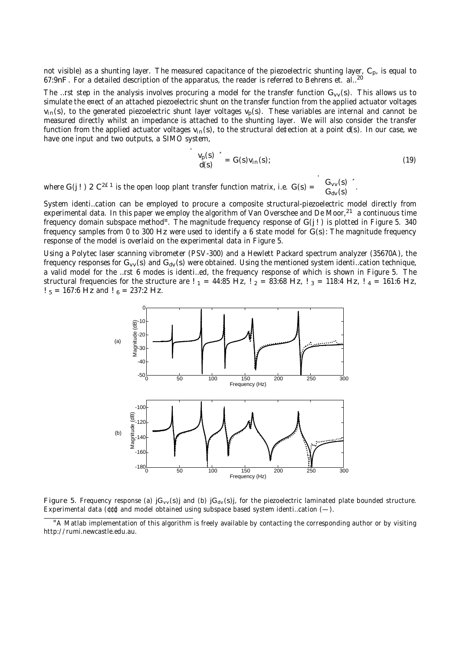not visible) as a shunting layer. The measured capacitance of the piezoelectric shunting layer, C<sub>p</sub>, is equal to 67:9nF. For a detailed description of the apparatus, the reader is referred to Behrens et. al..<sup>20</sup>

The …rst step in the analysis involves procuring a model for the transfer function  $G_{vv}(s)$ . This allows us to simulate the e¤ect of an attached piezoelectric shunt on the transfer function from the applied actuator voltages  $v_{in}(s)$ , to the generated piezoelectric shunt layer voltages  $v_p(s)$ . These variables are internal and cannot be measured directly whilst an impedance is attached to the shunting layer. We will also consider the transfer function from the applied actuator voltages  $v_{in}(s)$ , to the structural de‡ection at a point d(s). In our case, we have one input and two outputs, a SIMO system,

$$
\begin{array}{c}\nV_p(s) \\
d(s)\n\end{array} = G(s)v_{in}(s); \tag{19}
$$

.

where G(j!) 2  $C^{2E1}$  is the open loop plant transfer function matrix, i.e.  $G(s)$  =  $G_{VV}(s)$  $G_{dv}(s)$  $\ddot{\phantom{0}}$ 

System identi…cation can be employed to procure a composite structural-piezoelectric model directly from experimental data. In this paper we employ the algorithm of Van Overschee and De Moor,<sup>21</sup> a continuous time frequency domain subspace method". The magnitude frequency response of G(j!) is plotted in Figure 5. 340 frequency samples from 0 to 300 Hz were used to identify a 6 state model for G(s): The magnitude frequency response of the model is overlaid on the experimental data in Figure 5.

Using a Polytec laser scanning vibrometer (PSV-300) and a Hewlett Packard spectrum analyzer (35670A), the frequency responses for  $G_{vv}(s)$  and  $G_{dv}(s)$  were obtained. Using the mentioned system identi…cation technique, a valid model for the …rst 6 modes is identi…ed, the frequency response of which is shown in Figure 5. The structural frequencies for the structure are  $!_1 = 44:85$  Hz,  $!_2 = 83:68$  Hz,  $!_3 = 118:4$  Hz,  $!_4 = 161:6$  Hz,  $!$  <sub>5</sub> = 167:6 Hz and  $!$  <sub>6</sub> = 237:2 Hz.



Figure 5. Frequency response (a)  $jG_{vv}(s)j$  and (b)  $jG_{dv}(s)j$ , for the piezoelectric laminated plate bounded structure. Experimental data ( $(t \, t)$  and model obtained using subspace based system identi…cation  $(-)$ .

<sup>&</sup>lt;sup>"</sup>A Matlab implementation of this algorithm is freely available by contacting the corresponding author or by visiting http://rumi.newcastle.edu.au.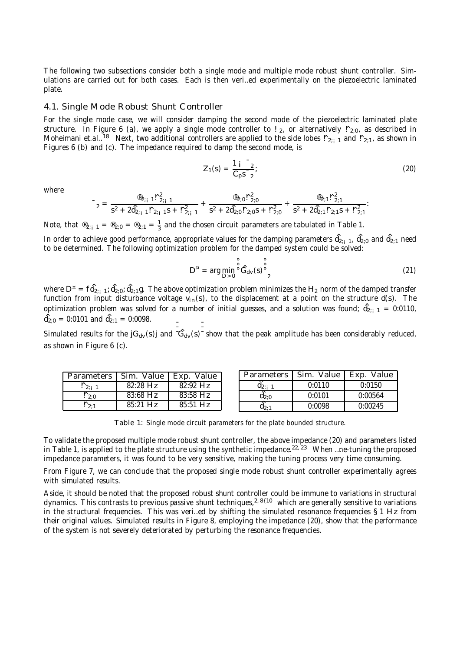The following two subsections consider both a single mode and multiple mode robust shunt controller. Simulations are carried out for both cases. Each is then veri…ed experimentally on the piezoelectric laminated plate.

#### 4.1. Single Mode Robust Shunt Controller

For the single mode case, we will consider damping the second mode of the piezoelectric laminated plate structure. In Figure 6 (a), we apply a single mode controller to !  $_2$ , or alternatively  $\frac{R}{2;0}$ , as described in Moheimani et.al..<sup>18</sup> Next, two additional controllers are applied to the side lobes  $P_{2;1,1}$  and  $P_{2;1}$ , as shown in Figures 6 (b) and (c). The impedance required to damp the second mode, is

$$
Z_1(s) = \frac{1 i^{-2}}{C_p s^{-2}};
$$
 (20)

where

$$
r_2 = \frac{\mathbf{e}_{2;1} + \mathbf{e}_{2;1}}{s^2 + 2\hat{d}_{2;1} + \mathbf{e}_{2;1} + \mathbf{e}_{2;1}} + \frac{\mathbf{e}_{2;0} + \mathbf{e}_{2;0}}{s^2 + 2\hat{d}_{2;0} + \mathbf{e}_{2;0}} + \frac{\mathbf{e}_{2;1} + \mathbf{e}_{2;1}}{s^2 + 2\hat{d}_{2;1} + \mathbf{e}_{2;1}}.
$$

Note, that  $\mathcal{B}_{2;1} = \mathcal{B}_{2;0} = \mathcal{B}_{2;1} = \frac{1}{3}$  and the chosen circuit parameters are tabulated in Table 1.

In order to achieve good performance, appropriate values for the damping parameters  $\hat{d}_{2;1}$  ,  $\hat{d}_{2;0}$  and  $\hat{d}_{2;1}$  need to be determined. The following optimization problem for the damped system could be solved:

$$
D^{\pi} = \arg\min_{D>0} \stackrel{\circ}{\circ} \mathring{G}_{dv}(s) \stackrel{\circ}{\circ}_{2}^{0}
$$
 (21)

where  $D^{\pi} = f \hat{d}_{2;j-1}; \hat{d}_{2;0}; \hat{d}_{2;1}$ g. The above optimization problem minimizes the H<sub>2</sub> norm of the damped transfer function from input disturbance voltage  $v_{in}(s)$ , to the displacement at a point on the structure d(s). The optimization problem was solved for a number of initial guesses, and a solution was found;  $\hat{d}_{2;_{i}=1} = 0:0110$ ,  $\hat{d}_{2:0} = 0:0101$  and  $\hat{d}_{2:1} = 0:0098$ .

Simulated results for the  $jG_{dv}(s)j$  and  $-G_{dv}(s)$  show that the peak amplitude has been considerably reduced, as shown in Figure 6 (c).

| <b>Parameters</b> | Sim.<br>Value | Exp.<br>Value | Parameters | Sim.<br>Value | Exp.<br>Value |
|-------------------|---------------|---------------|------------|---------------|---------------|
| $\Gamma$ 2; 1     | $82:28$ Hz    | $82:92$ Hz    | $a_{2:i}$  | 0:0110        | 0:0150        |
| $\frac{1}{20}$    | $83:68$ Hz    | $83:58$ Hz    | $a_{2:0}$  | 0:0101        | 0:00564       |
| `2∶1              | $85:21$ Hz    | 85:51 Hz      | $q_{2:1}$  | 0:0098        | 0:00245       |

Table 1: Single mode circuit parameters for the plate bounded structure.

To validate the proposed multiple mode robust shunt controller, the above impedance (20) and parameters listed in Table 1, is applied to the plate structure using the synthetic impedance.<sup>22, 23</sup> When ...ne-tuning the proposed impedance parameters, it was found to be very sensitive, making the tuning process very time consuming.

From Figure 7, we can conclude that the proposed single mode robust shunt controller experimentally agrees with simulated results.

Aside, it should be noted that the proposed robust shunt controller could be immune to variations in structural dynamics. This contrasts to previous passive shunt techniques,<sup>2,8{10</sup> which are generally sensitive to variations in the structural frequencies. This was veri…ed by shifting the simulated resonance frequencies §1 Hz from their original values. Simulated results in Figure 8, employing the impedance (20), show that the performance of the system is not severely deteriorated by perturbing the resonance frequencies.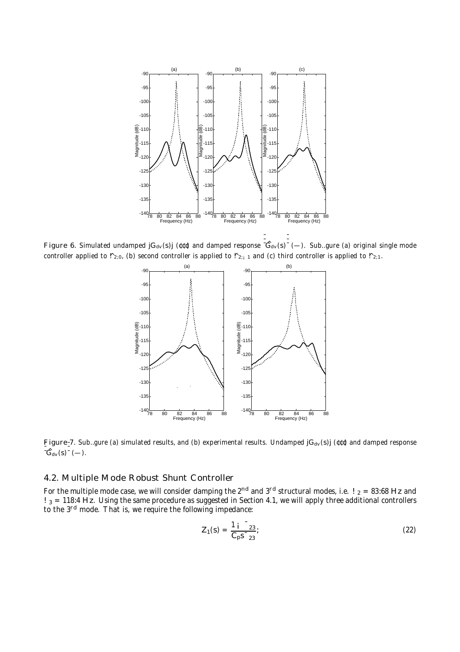

Figure 6. Simulated undamped  $jG_{dv}(s)j$  ( $\epsilon \epsilon$ ) and damped response  $G_{dv}(s)$  (-). Sub. gure (a) original single mode controller applied to  $P_{2;0}$ , (b) second controller is applied to  $P_{2;1}$  and (c) third controller is applied to  $P_{2;1}$ .



Figure-7. Sub...gure (a) simulated results, and (b) experimental results. Undamped  $jG_{dv}(s)j$  ( $(t\ell)$ ) and damped response  $-\tilde{G}_{\text{dv}}(s) - (-).$ 

#### 4.2. Multiple Mode Robust Shunt Controller

For the multiple mode case, we will consider damping the 2<sup>nd</sup> and 3<sup>rd</sup> structural modes, i.e. !  $_2$  = 83:68 Hz and !  $_3$  = 118:4 Hz. Using the same procedure as suggested in Section 4.1, we will apply three additional controllers to the 3<sup>rd</sup> mode. That is, we require the following impedance:

$$
Z_1(s) = \frac{1}{C_p s^{-23}};
$$
 (22)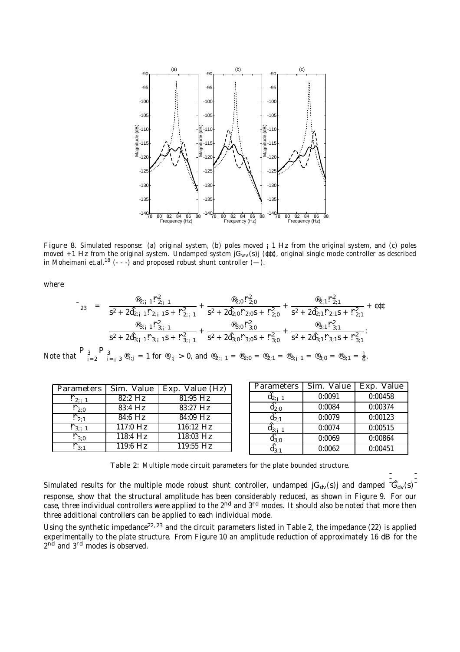

Figure 8. Simulated response: (a) original system, (b) poles moved  $\frac{1}{1}$  Hz from the original system, and (c) poles moved +1 Hz from the original system. Undamped system  $iG_{ww}(s)$  ( $(i\ell\ell)$ , original single mode controller as described in Moheimani et.al.<sup>18</sup> (- - -) and proposed robust shunt controller  $(-)$ .

where

$$
r_{23} = \frac{\mathfrak{B}_{2;1} + \mathfrak{D}_{2;1}}{s^2 + 2\mathfrak{A}_{2;1} + \mathfrak{D}_{2;1} + \mathfrak{D}_{2;1}} + \frac{\mathfrak{B}_{2;0} + \mathfrak{D}_{2;0}}{s^2 + 2\mathfrak{A}_{2;0} + \mathfrak{D}_{2;1}} + \frac{\mathfrak{B}_{2;1} + \mathfrak{D}_{2;1}}{s^2 + 2\mathfrak{A}_{2;1} + \mathfrak{D}_{2;1}} + \mathfrak{U}_{2;1} + \mathfrak{U}_{2;2} + \mathfrak{U}_{2;3} + \mathfrak{D}_{2;4} + \mathfrak{U}_{2;4} + \mathfrak{U}_{2;5} + \mathfrak{U}_{2;6} + \mathfrak{U}_{2;6} + \mathfrak{U}_{2;7} + \mathfrak{U}_{2;7} + \mathfrak{U}_{2;7} + \mathfrak{U}_{2;7} + \mathfrak{U}_{2;7} + \mathfrak{U}_{2;7} + \mathfrak{U}_{2;7} + \mathfrak{U}_{2;7} + \mathfrak{U}_{2;7} + \mathfrak{U}_{2;7} + \mathfrak{U}_{2;7} + \mathfrak{U}_{2;7} + \mathfrak{U}_{2;7} + \mathfrak{U}_{2;7} + \mathfrak{U}_{2;7} + \mathfrak{U}_{2;7} + \mathfrak{U}_{2;7} + \mathfrak{U}_{2;7} + \mathfrak{U}_{2;7} + \mathfrak{U}_{2;7} + \mathfrak{U}_{2;7} + \mathfrak{U}_{2;7} + \mathfrak{U}_{2;7} + \mathfrak{U}_{2;7} + \mathfrak{U}_{2;7} + \mathfrak{U}_{2;7} + \mathfrak{U}_{2;7} + \mathfrak{U}_{2;7} + \mathfrak{U}_{2;7} + \mathfrak{U}_{2;7} + \mathfrak{U}_{2;7} + \mathfrak{U}_{2;7} + \mathfrak{U}_{2;7} + \mathfrak{U}_{2;7} + \mathfrak{U}_{2;7} + \mathfrak{U}_{2;7} + \mathfrak{U}_{2;7} + \mathfrak{U}_{2;7} + \mathfrak{U}_{2;7} + \mathfrak{U}_{2;
$$

Note th

| Parameters             | Sim. Value           | Exp. Value (Hz)       |
|------------------------|----------------------|-----------------------|
| $\frac{\dot{r}}{2i}$ 1 | $\overline{82:2}$ Hz | $81:95$ Hz            |
| $\frac{1}{2}$ ,0       | $83:4$ Hz            | $\overline{83:}27$ Hz |
| $\mathbf{r}_{2:1}$     | $84:6$ Hz            | 84:09 Hz              |
| $\mathbf{r}_{3;i}$ 1   | $117:0$ Hz           | $116:12$ Hz           |
| $\mathsf{r}_{3:0}$     | $118:4$ Hz           | 118:03 Hz             |
| $\mathsf{r}_{3:1}$     | $119:6$ Hz           | $119:55$ Hz           |
|                        |                      |                       |

| Parameters         | Sim. Value | Exp. Value |
|--------------------|------------|------------|
| u <sub>2∶i</sub> 1 | 0:0091     | 0:00458    |
| $\mathbf{d}_{2:0}$ | 0:0084     | 0:00374    |
| $\mathbf{d}_{2:1}$ | 0:0079     | 0:00123    |
| $a_{3;i}$ 1        | 0:0074     | 0:00515    |
| $\hat{d}_{3:0}$    | 0:0069     | 0:00864    |
| 1่า?∙1             | 0:0062     | 0:00451    |

Table 2: Multiple mode circuit parameters for the plate bounded structure.

Simulated results for the multiple mode robust shunt controller, undamped  $jG_{dv}(s)j$  and damped  $-\hat{G}_{dv}(s)$ response, show that the structural amplitude has been considerably reduced, as shown in Figure 9. For our case, three individual controllers were applied to the 2<sup>nd</sup> and 3<sup>rd</sup> modes. It should also be noted that more then three additional controllers can be applied to each individual mode.

Using the synthetic impedance<sup>22, 23</sup> and the circuit parameters listed in Table 2, the impedance (22) is applied experimentally to the plate structure. From Figure 10 an amplitude reduction of approximately 16 dB for the 2<sup>nd</sup> and 3<sup>rd</sup> modes is observed.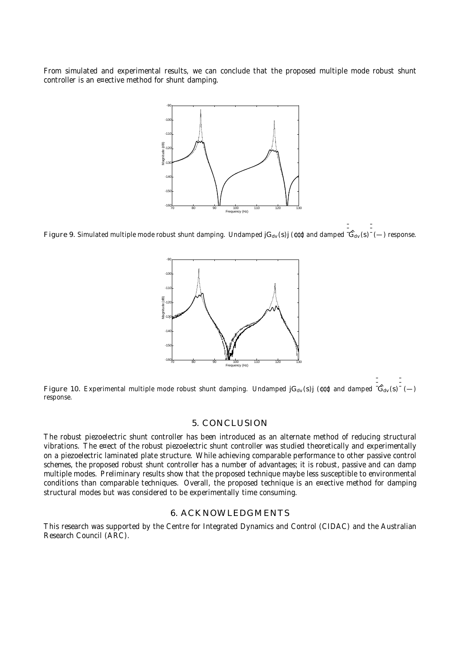From simulated and experimental results, we can conclude that the proposed multiple mode robust shunt controller is an e¤ective method for shunt damping.



Figure 9. Simulated multiple mode robust shunt damping. Undamped  $jG_{dv}(s)j$  ( $\ell\ell\ell$ ) and damped  $\overline{G}_{dv}(s)$   $\overline{G}_{dv}(s)$   $\rightarrow$  response.



Figure 10. Experimental multiple mode robust shunt damping. Undamped jG<sub>dv</sub>(s)j (¢¢¢) and damped  $\left[\hat{G}_{dv}(s)-\right]$ <br>response response.

### 5. CONCLUSION

The robust piezoelectric shunt controller has been introduced as an alternate method of reducing structural vibrations. The e¤ect of the robust piezoelectric shunt controller was studied theoretically and experimentally on a piezoelectric laminated plate structure. While achieving comparable performance to other passive control schemes, the proposed robust shunt controller has a number of advantages; it is robust, passive and can damp multiple modes. Preliminary results show that the proposed technique maybe less susceptible to environmental conditions than comparable techniques. Overall, the proposed technique is an e¤ective method for damping structural modes but was considered to be experimentally time consuming.

#### 6. ACKNOWLEDGMENTS

This research was supported by the Centre for Integrated Dynamics and Control (CIDAC) and the Australian Research Council (ARC).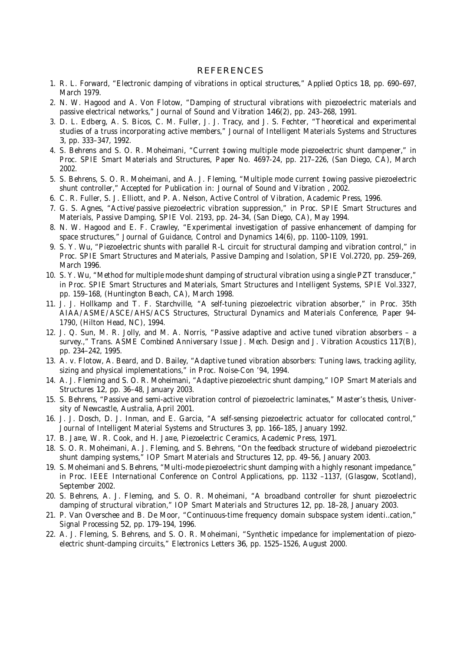#### REFERENCES

- 1. R. L. Forward, "Electronic damping of vibrations in optical structures," Applied Optics 18, pp. 690–697, March 1979.
- 2. N. W. Hagood and A. Von Flotow, "Damping of structural vibrations with piezoelectric materials and passive electrical networks," Journal of Sound and Vibration 146(2), pp. 243–268, 1991.
- 3. D. L. Edberg, A. S. Bicos, C. M. Fuller, J. J. Tracy, and J. S. Fechter, "Theoretical and experimental studies of a truss incorporating active members," Journal of Intelligent Materials Systems and Structures 3, pp. 333–347, 1992.
- 4. S. Behrens and S. O. R. Moheimani, "Current ‡owing multiple mode piezoelectric shunt dampener," in Proc. SPIE Smart Materials and Structures, Paper No. 4697-24, pp. 217–226, (San Diego, CA), March 2002.
- 5. S. Behrens, S. O. R. Moheimani, and A. J. Fleming, "Multiple mode current ‡owing passive piezoelectric shunt controller," Accepted for Publication in: Journal of Sound and Vibration , 2002.
- 6. C. R. Fuller, S. J. Elliott, and P. A. Nelson, Active Control of Vibration, Academic Press, 1996.
- 7. G. S. Agnes, "Active/passive piezoelectric vibration suppression," in Proc. SPIE Smart Structures and Materials, Passive Damping, SPIE Vol. 2193, pp. 24–34, (San Diego, CA), May 1994.
- 8. N. W. Hagood and E. F. Crawley, "Experimental investigation of passive enhancement of damping for space structures," Journal of Guidance, Control and Dynamics 14(6), pp. 1100–1109, 1991.
- 9. S. Y. Wu, "Piezoelectric shunts with parallel R-L circuit for structural damping and vibration control," in Proc. SPIE Smart Structures and Materials, Passive Damping and Isolation, SPIE Vol.2720, pp. 259–269, March 1996.
- 10. S. Y. Wu, "Method for multiple mode shunt damping of structural vibration using a single PZT transducer," in Proc. SPIE Smart Structures and Materials, Smart Structures and Intelligent Systems, SPIE Vol.3327, pp. 159–168, (Huntington Beach, CA), March 1998.
- 11. J. J. Hollkamp and T. F. Starchville, "A self-tuning piezoelectric vibration absorber," in Proc. 35th AIAA/ASME/ASCE/AHS/ACS Structures, Structural Dynamics and Materials Conference, Paper 94- 1790, (Hilton Head, NC), 1994.
- 12. J. Q. Sun, M. R. Jolly, and M. A. Norris, "Passive adaptive and active tuned vibration absorbers a survey.," Trans. ASME Combined Anniversary Issue J. Mech. Design and J. Vibration Acoustics 117(B), pp. 234–242, 1995.
- 13. A. v. Flotow, A. Beard, and D. Bailey, "Adaptive tuned vibration absorbers: Tuning laws, tracking agility, sizing and physical implementations," in Proc. Noise-Con '94, 1994.
- 14. A. J. Fleming and S. O. R. Moheimani, "Adaptive piezoelectric shunt damping," IOP Smart Materials and Structures 12, pp. 36–48, January 2003.
- 15. S. Behrens, "Passive and semi-active vibration control of piezoelectric laminates," Master's thesis, University of Newcastle, Australia, April 2001.
- 16. J. J. Dosch, D. J. Inman, and E. Garcia, "A self-sensing piezoelectric actuator for collocated control," Journal of Intelligent Material Systems and Structures 3, pp. 166–185, January 1992.
- 17. B. Ja¤e, W. R. Cook, and H. Ja¤e, Piezoelectric Ceramics, Academic Press, 1971.
- 18. S. O. R. Moheimani, A. J. Fleming, and S. Behrens, "On the feedback structure of wideband piezoelectric shunt damping systems," IOP Smart Materials and Structures 12, pp. 49–56, January 2003.
- 19. S. Moheimani and S. Behrens, "Multi-mode piezoelectric shunt damping with a highly resonant impedance," in Proc. IEEE International Conference on Control Applications, pp. 1132 –1137, (Glasgow, Scotland), September 2002.
- 20. S. Behrens, A. J. Fleming, and S. O. R. Moheimani, "A broadband controller for shunt piezoelectric damping of structural vibration," IOP Smart Materials and Structures 12, pp. 18–28, January 2003.
- 21. P. Van Overschee and B. De Moor, "Continuous-time frequency domain subspace system identi…cation," Signal Processing 52, pp. 179–194, 1996.
- 22. A. J. Fleming, S. Behrens, and S. O. R. Moheimani, "Synthetic impedance for implementation of piezoelectric shunt-damping circuits," Electronics Letters 36, pp. 1525–1526, August 2000.